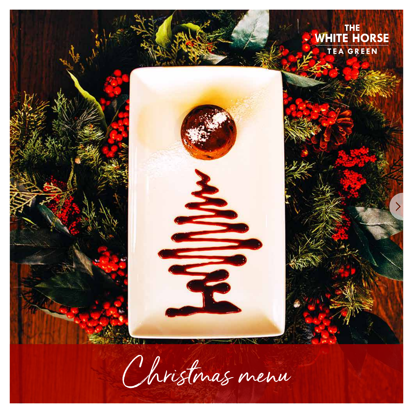

Christmas menu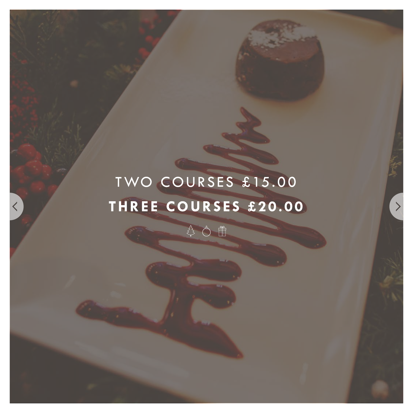# TWO COURSES £15.00 THREE COURSES £20.00

₿ Ô 団

 $\rightarrow$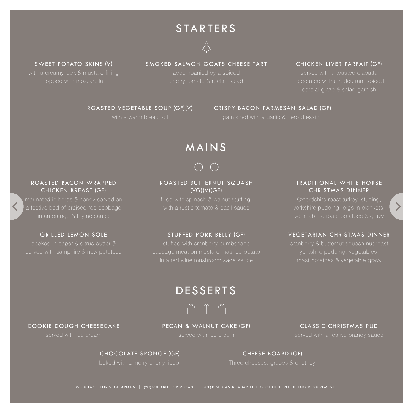# **STARTERS**



#### CHICKEN LIVER PARFAIT (GF)

served with a toasted ciabatta decorated with a redcurrant spiced cordial glaze & salad garnish

### SMOKED SALMON GOATS CHEESE TART

accompanied by a spiced

#### SWEET POTATO SKINS (V)

topped with mozzarella

#### CRISPY BACON PARMESAN SALAD (GF)

## ROASTED VEGETABLE SOUP (GF)(V)

with a warm bread roll

# MAINS

#### ROASTED BUTTERNUT SQUASH (VG)(V)(GF)

with a rustic tomato & basil sauce

#### GRILLED LEMON SOLE STUFFED PORK BELLY (GF)

sausage meat on mustard mashed potato in a red wine mushroom sage sauce

### TRADITIONAL WHITE HORSE CHRISTMAS DINNER

vegetables, roast potatoes & gravy

#### VEGETARIAN CHRISTMAS DINNER

## DESSERTS



#### PECAN & WALNUT CAKE (GF)

#### CLASSIC CHRISTMAS PUD

CHOCOLATE SPONGE (GF)

#### Three cheeses, grapes & chutney. CHEESE BOARD (GF)

(V) SUITABLE FOR VEGETARIANS | (VG) SUITABLE FOR VEGANS | (GF) DISH CAN BE ADAPTED FOR GLUTEN FREE DIETARY REQUIREMENTS

#### ROASTED BACON WRAPPED CHICKEN BREAST (GF)

a festive bed of braised red cabbage

cooked in caper & citrus butter &

COOKIE DOUGH CHEESECAKE